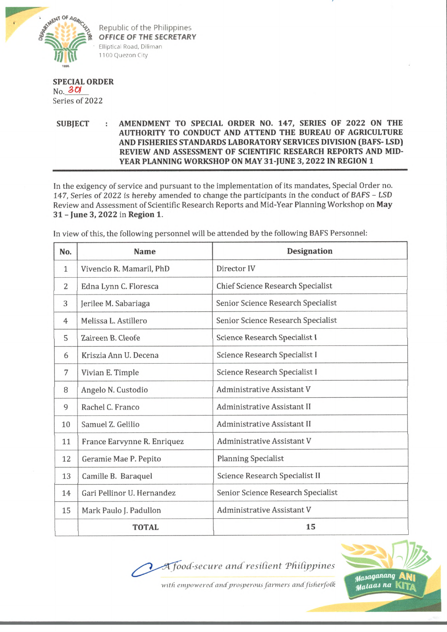

Republic of the Philippines *OFFICE OF THE SECRETARY* Elliptical Road, Diliman 1100 Quezon City

## **SPECIAL ORDER**  $No. 30$

Series of 2022

## SUBJECT : AMENDMENT TO SPECIAL ORDER NO. 147, SERIES OF 2022 ON THE **AUTHORITY TO CONDUCT AND ATTEND THE BUREAU OF AGRICULTURE AND FISHERIES STANDARDS LABORATORY SERVICES DIVISION (BAFS- LSD) REVIEW AND ASSESSMENT OF SCIENTIFIC RESEARCH REPORTS AND MID-YEAR PLANNING WORKSHOP ON MAY 31-JUNE 3,2022 IN REGION 1**

In the exigency of service and pursuant to the implementation of its mandates, Special Order no. 147, Series of 2022 is hereby amended to change the participants in the conduct of BAFS - LSD Review and Assessment of Scientific Research Reports and Mid-Year Planning Workshop on **May 31 - June 3, 2022** in **Region 1.**

| No.          | <b>Name</b>                 | <b>Designation</b>                    |
|--------------|-----------------------------|---------------------------------------|
| $\mathbf{1}$ | Vivencio R. Mamaril, PhD    | Director IV                           |
| 2            | Edna Lynn C. Floresca       | Chief Science Research Specialist     |
| 3            | Jerilee M. Sabariaga        | Senior Science Research Specialist    |
| 4            | Melissa L. Astillero        | Senior Science Research Specialist    |
| 5            | Zaireen B. Cleofe           | <b>Science Research Specialist I</b>  |
| 6            | Kriszia Ann U. Decena       | Science Research Specialist I         |
| 7            | Vivian E. Timple            | Science Research Specialist I         |
| 8            | Angelo N. Custodio          | <b>Administrative Assistant V</b>     |
| 9            | Rachel C. Franco            | Administrative Assistant II           |
| 10           | Samuel Z. Gelilio           | Administrative Assistant II           |
| 11           | France Earvynne R. Enriquez | <b>Administrative Assistant V</b>     |
| 12           | Geramie Mae P. Pepito       | <b>Planning Specialist</b>            |
| 13           | Camille B. Baraquel         | <b>Science Research Specialist II</b> |
| 14           | Gari Pellinor U. Hernandez  | Senior Science Research Specialist    |
| 15           | Mark Paulo J. Padullon      | Administrative Assistant V            |
|              | <b>TOTAL</b>                | 15                                    |

In view of this, the following personnel will be attended by the following BAFS Personnel:

## *^food-secure and resilient TfiiCippines*